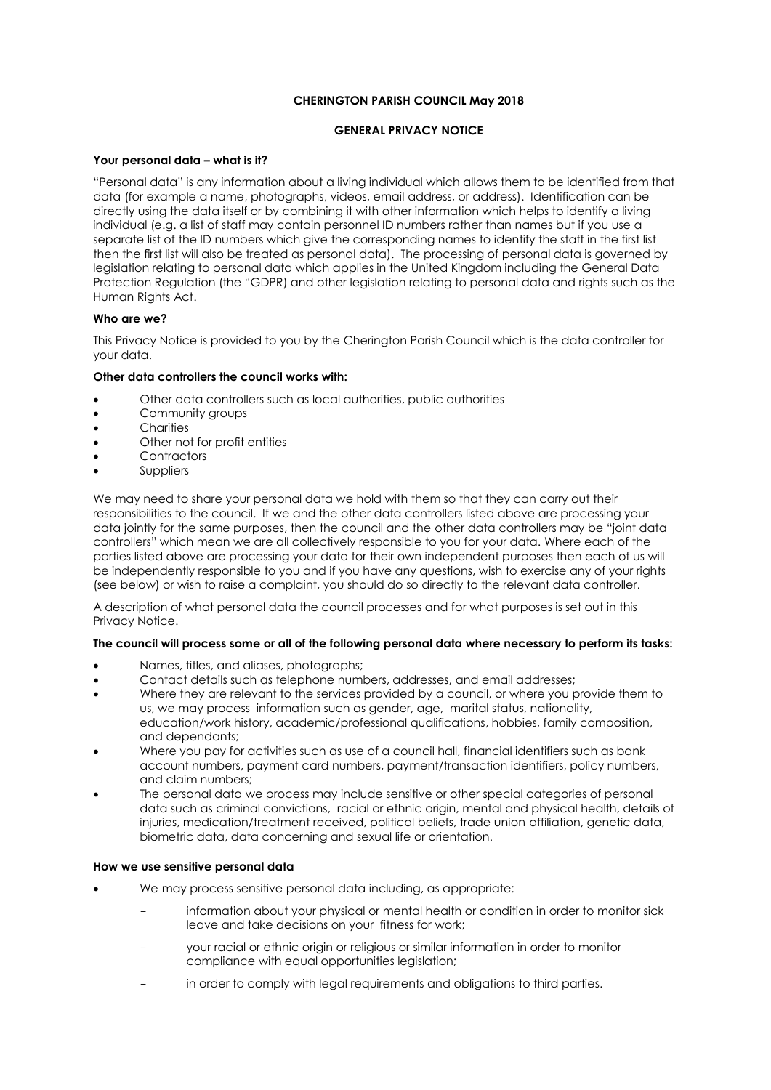## **CHERINGTON PARISH COUNCIL May 2018**

## **GENERAL PRIVACY NOTICE**

### **Your personal data – what is it?**

"Personal data" is any information about a living individual which allows them to be identified from that data (for example a name, photographs, videos, email address, or address). Identification can be directly using the data itself or by combining it with other information which helps to identify a living individual (e.g. a list of staff may contain personnel ID numbers rather than names but if you use a separate list of the ID numbers which give the corresponding names to identify the staff in the first list then the first list will also be treated as personal data). The processing of personal data is governed by legislation relating to personal data which applies in the United Kingdom including the General Data Protection Regulation (the "GDPR) and other legislation relating to personal data and rights such as the Human Rights Act.

## **Who are we?**

This Privacy Notice is provided to you by the Cherington Parish Council which is the data controller for your data.

## **Other data controllers the council works with:**

- Other data controllers such as local authorities, public authorities
- **•** Community groups
- **Charities**
- Other not for profit entities
- **Contractors**
- Suppliers

We may need to share your personal data we hold with them so that they can carry out their responsibilities to the council. If we and the other data controllers listed above are processing your data jointly for the same purposes, then the council and the other data controllers may be "joint data controllers" which mean we are all collectively responsible to you for your data. Where each of the parties listed above are processing your data for their own independent purposes then each of us will be independently responsible to you and if you have any questions, wish to exercise any of your rights (see below) or wish to raise a complaint, you should do so directly to the relevant data controller.

A description of what personal data the council processes and for what purposes is set out in this Privacy Notice.

### **The council will process some or all of the following personal data where necessary to perform its tasks:**

- Names, titles, and aliases, photographs;
- Contact details such as telephone numbers, addresses, and email addresses;
- Where they are relevant to the services provided by a council, or where you provide them to us, we may process information such as gender, age, marital status, nationality, education/work history, academic/professional qualifications, hobbies, family composition, and dependants;
- Where you pay for activities such as use of a council hall, financial identifiers such as bank account numbers, payment card numbers, payment/transaction identifiers, policy numbers, and claim numbers;
- The personal data we process may include sensitive or other special categories of personal data such as criminal convictions, racial or ethnic origin, mental and physical health, details of injuries, medication/treatment received, political beliefs, trade union affiliation, genetic data, biometric data, data concerning and sexual life or orientation.

### **How we use sensitive personal data**

- We may process sensitive personal data including, as appropriate:
	- information about your physical or mental health or condition in order to monitor sick leave and take decisions on your fitness for work;
	- your racial or ethnic origin or religious or similar information in order to monitor compliance with equal opportunities legislation;
	- in order to comply with legal requirements and obligations to third parties.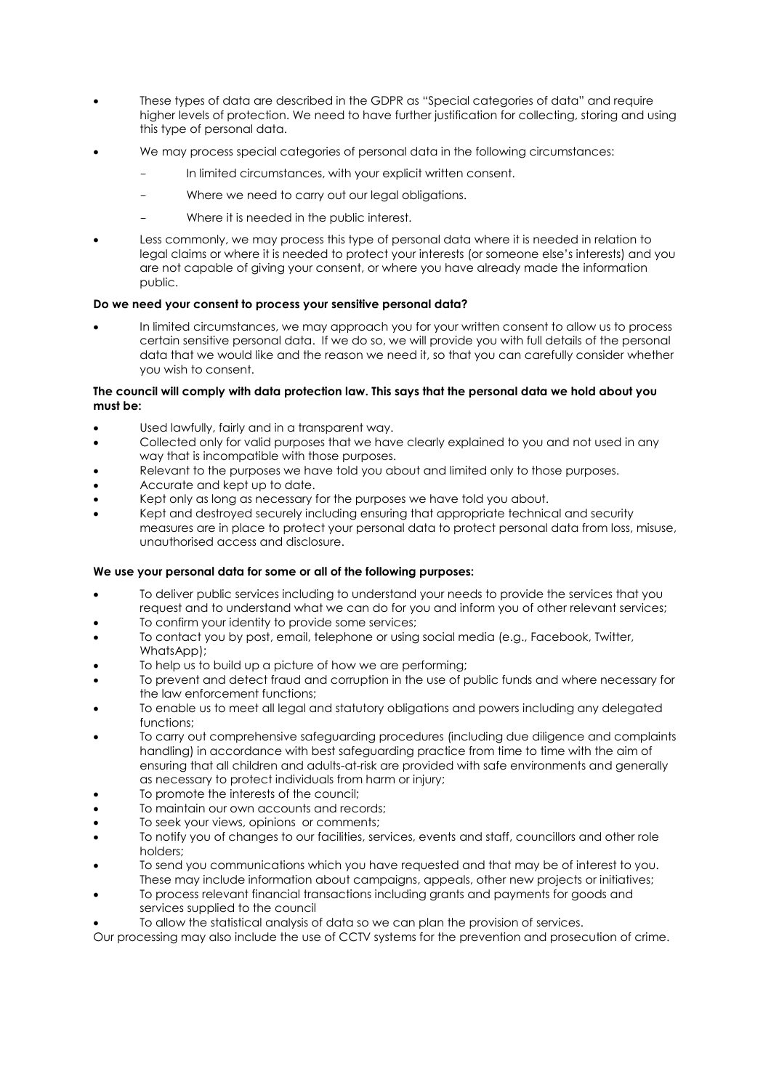- These types of data are described in the GDPR as "Special categories of data" and require higher levels of protection. We need to have further justification for collecting, storing and using this type of personal data.
- We may process special categories of personal data in the following circumstances:
	- In limited circumstances, with your explicit written consent.
	- Where we need to carry out our legal obligations.
	- Where it is needed in the public interest.
- Less commonly, we may process this type of personal data where it is needed in relation to legal claims or where it is needed to protect your interests (or someone else's interests) and you are not capable of giving your consent, or where you have already made the information public.

## **Do we need your consent to process your sensitive personal data?**

 In limited circumstances, we may approach you for your written consent to allow us to process certain sensitive personal data. If we do so, we will provide you with full details of the personal data that we would like and the reason we need it, so that you can carefully consider whether you wish to consent.

### **The council will comply with data protection law. This says that the personal data we hold about you must be:**

- Used lawfully, fairly and in a transparent way.
- Collected only for valid purposes that we have clearly explained to you and not used in any way that is incompatible with those purposes.
- Relevant to the purposes we have told you about and limited only to those purposes.
- Accurate and kept up to date.
- Kept only as long as necessary for the purposes we have told you about.
- Kept and destroyed securely including ensuring that appropriate technical and security measures are in place to protect your personal data to protect personal data from loss, misuse, unauthorised access and disclosure.

### **We use your personal data for some or all of the following purposes:**

- To deliver public services including to understand your needs to provide the services that you request and to understand what we can do for you and inform you of other relevant services;
- To confirm your identity to provide some services;
- To contact you by post, email, telephone or using social media (e.g., Facebook, Twitter, WhatsApp);
- To help us to build up a picture of how we are performing;
- To prevent and detect fraud and corruption in the use of public funds and where necessary for the law enforcement functions;
- To enable us to meet all legal and statutory obligations and powers including any delegated functions;
- To carry out comprehensive safeguarding procedures (including due diligence and complaints handling) in accordance with best safeguarding practice from time to time with the aim of ensuring that all children and adults-at-risk are provided with safe environments and generally as necessary to protect individuals from harm or injury;
- To promote the interests of the council;
- To maintain our own accounts and records;
- To seek your views, opinions or comments;
- To notify you of changes to our facilities, services, events and staff, councillors and other role holders;
- To send you communications which you have requested and that may be of interest to you. These may include information about campaigns, appeals, other new projects or initiatives;
- To process relevant financial transactions including grants and payments for goods and services supplied to the council
- To allow the statistical analysis of data so we can plan the provision of services.

Our processing may also include the use of CCTV systems for the prevention and prosecution of crime.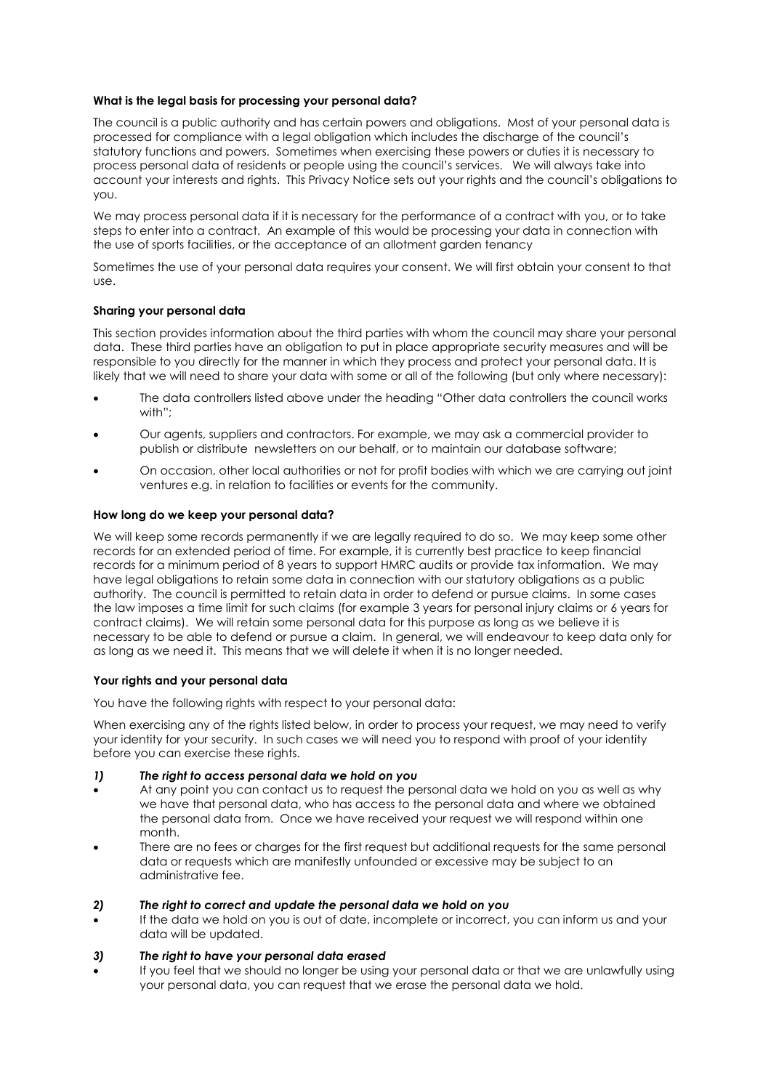### **What is the legal basis for processing your personal data?**

The council is a public authority and has certain powers and obligations. Most of your personal data is processed for compliance with a legal obligation which includes the discharge of the council's statutory functions and powers. Sometimes when exercising these powers or duties it is necessary to process personal data of residents or people using the council's services. We will always take into account your interests and rights. This Privacy Notice sets out your rights and the council's obligations to you.

We may process personal data if it is necessary for the performance of a contract with you, or to take steps to enter into a contract. An example of this would be processing your data in connection with the use of sports facilities, or the acceptance of an allotment garden tenancy

Sometimes the use of your personal data requires your consent. We will first obtain your consent to that use.

## **Sharing your personal data**

This section provides information about the third parties with whom the council may share your personal data. These third parties have an obligation to put in place appropriate security measures and will be responsible to you directly for the manner in which they process and protect your personal data. It is likely that we will need to share your data with some or all of the following (but only where necessary):

- The data controllers listed above under the heading "Other data controllers the council works with"<sup>\*</sup>
- Our agents, suppliers and contractors. For example, we may ask a commercial provider to publish or distribute newsletters on our behalf, or to maintain our database software;
- On occasion, other local authorities or not for profit bodies with which we are carrying out joint ventures e.g. in relation to facilities or events for the community.

### **How long do we keep your personal data?**

We will keep some records permanently if we are legally required to do so. We may keep some other records for an extended period of time. For example, it is currently best practice to keep financial records for a minimum period of 8 years to support HMRC audits or provide tax information. We may have legal obligations to retain some data in connection with our statutory obligations as a public authority. The council is permitted to retain data in order to defend or pursue claims. In some cases the law imposes a time limit for such claims (for example 3 years for personal injury claims or 6 years for contract claims). We will retain some personal data for this purpose as long as we believe it is necessary to be able to defend or pursue a claim. In general, we will endeavour to keep data only for as long as we need it. This means that we will delete it when it is no longer needed.

### **Your rights and your personal data**

You have the following rights with respect to your personal data:

When exercising any of the rights listed below, in order to process your request, we may need to verify your identity for your security. In such cases we will need you to respond with proof of your identity before you can exercise these rights.

- *1) The right to access personal data we hold on you*
- At any point you can contact us to request the personal data we hold on you as well as why we have that personal data, who has access to the personal data and where we obtained the personal data from. Once we have received your request we will respond within one month.
- There are no fees or charges for the first request but additional requests for the same personal data or requests which are manifestly unfounded or excessive may be subject to an administrative fee.

### *2) The right to correct and update the personal data we hold on you*

 If the data we hold on you is out of date, incomplete or incorrect, you can inform us and your data will be updated.

### *3) The right to have your personal data erased*

 If you feel that we should no longer be using your personal data or that we are unlawfully using your personal data, you can request that we erase the personal data we hold.